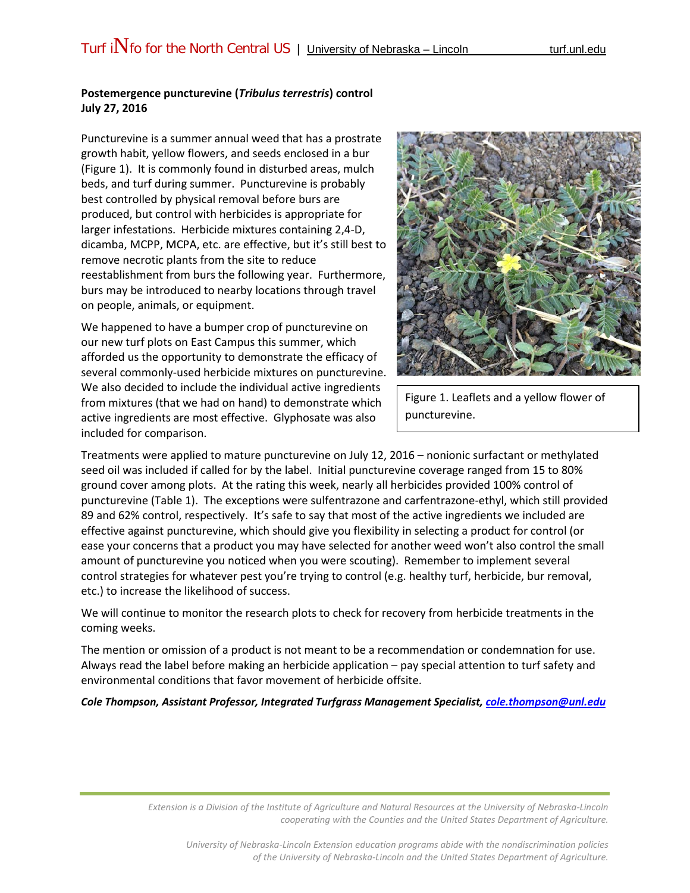## **Postemergence puncturevine (***Tribulus terrestris***) control July 27, 2016**

Puncturevine is a summer annual weed that has a prostrate growth habit, yellow flowers, and seeds enclosed in a bur (Figure 1). It is commonly found in disturbed areas, mulch beds, and turf during summer. Puncturevine is probably best controlled by physical removal before burs are produced, but control with herbicides is appropriate for larger infestations. Herbicide mixtures containing 2,4-D, dicamba, MCPP, MCPA, etc. are effective, but it's still best to remove necrotic plants from the site to reduce reestablishment from burs the following year. Furthermore, burs may be introduced to nearby locations through travel on people, animals, or equipment.

We happened to have a bumper crop of puncturevine on our new turf plots on East Campus this summer, which afforded us the opportunity to demonstrate the efficacy of several commonly-used herbicide mixtures on puncturevine. We also decided to include the individual active ingredients from mixtures (that we had on hand) to demonstrate which active ingredients are most effective. Glyphosate was also included for comparison.



Figure 1. Leaflets and a yellow flower of puncturevine.

Treatments were applied to mature puncturevine on July 12, 2016 – nonionic surfactant or methylated seed oil was included if called for by the label. Initial puncturevine coverage ranged from 15 to 80% ground cover among plots. At the rating this week, nearly all herbicides provided 100% control of puncturevine (Table 1). The exceptions were sulfentrazone and carfentrazone-ethyl, which still provided 89 and 62% control, respectively. It's safe to say that most of the active ingredients we included are effective against puncturevine, which should give you flexibility in selecting a product for control (or ease your concerns that a product you may have selected for another weed won't also control the small amount of puncturevine you noticed when you were scouting). Remember to implement several control strategies for whatever pest you're trying to control (e.g. healthy turf, herbicide, bur removal, etc.) to increase the likelihood of success.

We will continue to monitor the research plots to check for recovery from herbicide treatments in the coming weeks.

The mention or omission of a product is not meant to be a recommendation or condemnation for use. Always read the label before making an herbicide application – pay special attention to turf safety and environmental conditions that favor movement of herbicide offsite.

*Cole Thompson, Assistant Professor, Integrated Turfgrass Management Specialist, [cole.thompson@unl.edu](mailto:cole.thompson@unl.edu)*

*Extension is a Division of the Institute of Agriculture and Natural Resources at the University of Nebraska-Lincoln cooperating with the Counties and the United States Department of Agriculture.*

*University of Nebraska-Lincoln Extension education programs abide with the nondiscrimination policies of the University of Nebraska-Lincoln and the United States Department of Agriculture.*